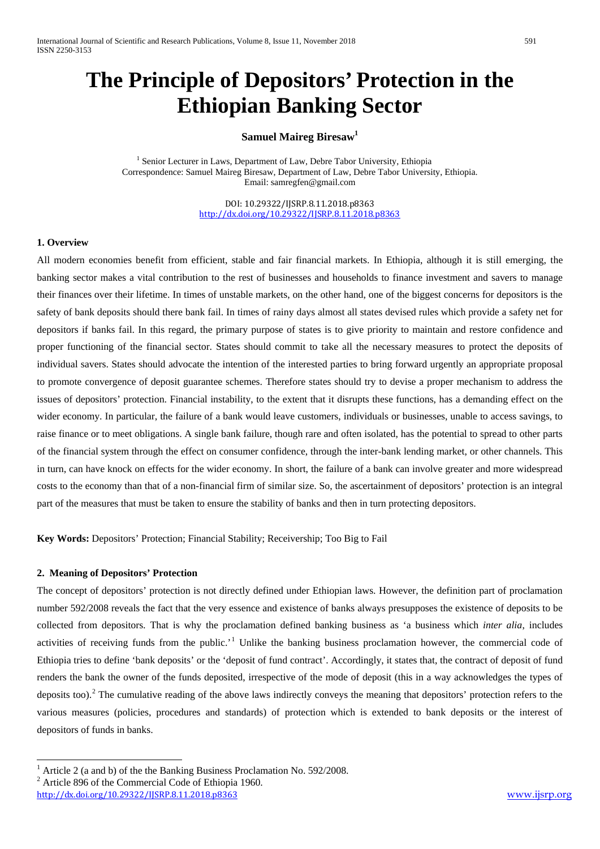# **The Principle of Depositors' Protection in the Ethiopian Banking Sector**

# **Samuel Maireg Biresaw1**

<sup>1</sup> Senior Lecturer in Laws, Department of Law, Debre Tabor University, Ethiopia Correspondence: Samuel Maireg Biresaw, Department of Law, Debre Tabor University, Ethiopia. Email: samregfen@gmail.com

> DOI: 10.29322/IJSRP.8.11.2018.p8363 <http://dx.doi.org/10.29322/IJSRP.8.11.2018.p8363>

## **1. Overview**

All modern economies benefit from efficient, stable and fair financial markets. In Ethiopia, although it is still emerging, the banking sector makes a vital contribution to the rest of businesses and households to finance investment and savers to manage their finances over their lifetime. In times of unstable markets, on the other hand, one of the biggest concerns for depositors is the safety of bank deposits should there bank fail. In times of rainy days almost all states devised rules which provide a safety net for depositors if banks fail. In this regard, the primary purpose of states is to give priority to maintain and restore confidence and proper functioning of the financial sector. States should commit to take all the necessary measures to protect the deposits of individual savers. States should advocate the intention of the interested parties to bring forward urgently an appropriate proposal to promote convergence of deposit guarantee schemes. Therefore states should try to devise a proper mechanism to address the issues of depositors' protection. Financial instability, to the extent that it disrupts these functions, has a demanding effect on the wider economy. In particular, the failure of a bank would leave customers, individuals or businesses, unable to access savings, to raise finance or to meet obligations. A single bank failure, though rare and often isolated, has the potential to spread to other parts of the financial system through the effect on consumer confidence, through the inter-bank lending market, or other channels. This in turn, can have knock on effects for the wider economy. In short, the failure of a bank can involve greater and more widespread costs to the economy than that of a non-financial firm of similar size. So, the ascertainment of depositors' protection is an integral part of the measures that must be taken to ensure the stability of banks and then in turn protecting depositors.

**Key Words:** Depositors' Protection; Financial Stability; Receivership; Too Big to Fail

#### **2. Meaning of Depositors' Protection**

The concept of depositors' protection is not directly defined under Ethiopian laws. However, the definition part of proclamation number 592/2008 reveals the fact that the very essence and existence of banks always presupposes the existence of deposits to be collected from depositors. That is why the proclamation defined banking business as 'a business which *inter alia*, includes activities of receiving funds from the public.<sup>[1](#page-0-0)</sup> Unlike the banking business proclamation however, the commercial code of Ethiopia tries to define 'bank deposits' or the 'deposit of fund contract'. Accordingly, it states that, the contract of deposit of fund renders the bank the owner of the funds deposited, irrespective of the mode of deposit (this in a way acknowledges the types of deposits too).<sup>[2](#page-0-1)</sup> The cumulative reading of the above laws indirectly conveys the meaning that depositors' protection refers to the various measures (policies, procedures and standards) of protection which is extended to bank deposits or the interest of depositors of funds in banks.

<span id="page-0-2"></span><span id="page-0-0"></span><sup>&</sup>lt;sup>1</sup> Article 2 (a and b) of the the Banking Business Proclamation No. 592/2008.

<span id="page-0-1"></span><sup>2</sup> Article 896 of the Commercial Code of Ethiopia 1960.

http://dx.doi.org/10.29322/JJSRP.8.11.2018.p8363 [www.ijsrp.org](http://ijsrp.org/)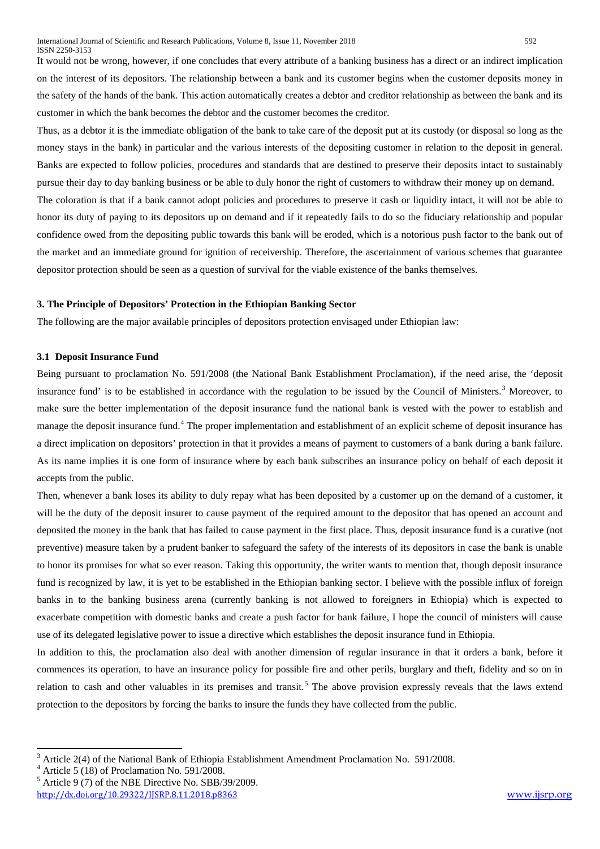It would not be wrong, however, if one concludes that every attribute of a banking business has a direct or an indirect implication on the interest of its depositors. The relationship between a bank and its customer begins when the customer deposits money in the safety of the hands of the bank. This action automatically creates a debtor and creditor relationship as between the bank and its customer in which the bank becomes the debtor and the customer becomes the creditor.

Thus, as a debtor it is the immediate obligation of the bank to take care of the deposit put at its custody (or disposal so long as the money stays in the bank) in particular and the various interests of the depositing customer in relation to the deposit in general. Banks are expected to follow policies, procedures and standards that are destined to preserve their deposits intact to sustainably pursue their day to day banking business or be able to duly honor the right of customers to withdraw their money up on demand.

The coloration is that if a bank cannot adopt policies and procedures to preserve it cash or liquidity intact, it will not be able to honor its duty of paying to its depositors up on demand and if it repeatedly fails to do so the fiduciary relationship and popular confidence owed from the depositing public towards this bank will be eroded, which is a notorious push factor to the bank out of the market and an immediate ground for ignition of receivership. Therefore, the ascertainment of various schemes that guarantee depositor protection should be seen as a question of survival for the viable existence of the banks themselves.

#### **3. The Principle of Depositors' Protection in the Ethiopian Banking Sector**

The following are the major available principles of depositors protection envisaged under Ethiopian law:

#### **3.1 Deposit Insurance Fund**

Being pursuant to proclamation No. 591/2008 (the National Bank Establishment Proclamation), if the need arise, the 'deposit insurance fund' is to be established in accordance with the regulation to be issued by the Council of Ministers.<sup>[3](#page-0-2)</sup> Moreover, to make sure the better implementation of the deposit insurance fund the national bank is vested with the power to establish and manage the deposit insurance fund.<sup>[4](#page-1-0)</sup> The proper implementation and establishment of an explicit scheme of deposit insurance has a direct implication on depositors' protection in that it provides a means of payment to customers of a bank during a bank failure. As its name implies it is one form of insurance where by each bank subscribes an insurance policy on behalf of each deposit it accepts from the public.

Then, whenever a bank loses its ability to duly repay what has been deposited by a customer up on the demand of a customer, it will be the duty of the deposit insurer to cause payment of the required amount to the depositor that has opened an account and deposited the money in the bank that has failed to cause payment in the first place. Thus, deposit insurance fund is a curative (not preventive) measure taken by a prudent banker to safeguard the safety of the interests of its depositors in case the bank is unable to honor its promises for what so ever reason. Taking this opportunity, the writer wants to mention that, though deposit insurance fund is recognized by law, it is yet to be established in the Ethiopian banking sector. I believe with the possible influx of foreign banks in to the banking business arena (currently banking is not allowed to foreigners in Ethiopia) which is expected to exacerbate competition with domestic banks and create a push factor for bank failure, I hope the council of ministers will cause use of its delegated legislative power to issue a directive which establishes the deposit insurance fund in Ethiopia.

<span id="page-1-2"></span>In addition to this, the proclamation also deal with another dimension of regular insurance in that it orders a bank, before it commences its operation, to have an insurance policy for possible fire and other perils, burglary and theft, fidelity and so on in relation to cash and other valuables in its premises and transit.<sup>[5](#page-1-1)</sup> The above provision expressly reveals that the laws extend protection to the depositors by forcing the banks to insure the funds they have collected from the public.

<sup>&</sup>lt;sup>3</sup> Article 2(4) of the National Bank of Ethiopia Establishment Amendment Proclamation No. 591/2008.

<span id="page-1-0"></span>Article 5 (18) of Proclamation No. 591/2008.

<span id="page-1-1"></span> $<sup>5</sup>$  Article 9 (7) of the NBE Directive No. SBB/39/2009.</sup>

<http://dx.doi.org/10.29322/IJSRP.8.11.2018.p8363> [www.ijsrp.org](http://ijsrp.org/)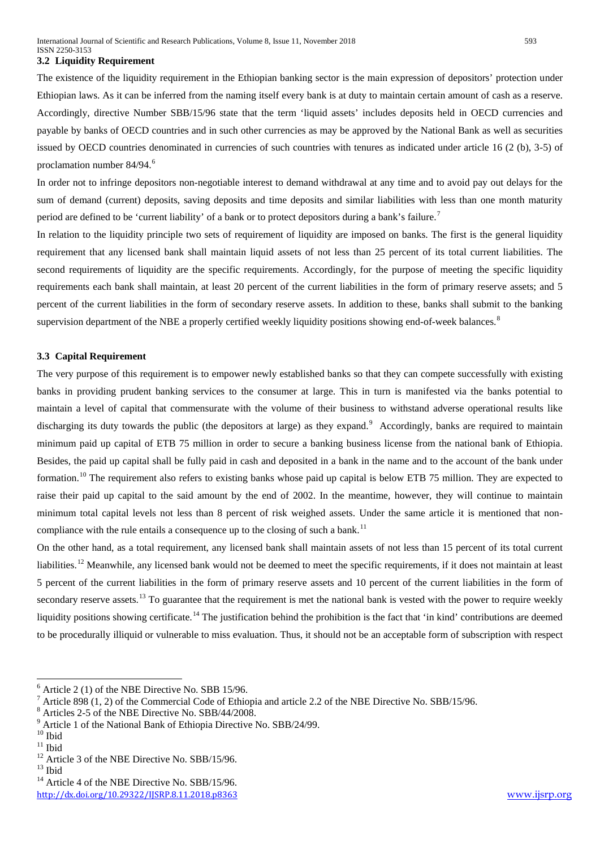#### **3.2 Liquidity Requirement**

The existence of the liquidity requirement in the Ethiopian banking sector is the main expression of depositors' protection under Ethiopian laws. As it can be inferred from the naming itself every bank is at duty to maintain certain amount of cash as a reserve. Accordingly, directive Number SBB/15/96 state that the term 'liquid assets' includes deposits held in OECD currencies and payable by banks of OECD countries and in such other currencies as may be approved by the National Bank as well as securities issued by OECD countries denominated in currencies of such countries with tenures as indicated under article 16 (2 (b), 3-5) of proclamation number 84/94.[6](#page-1-2)

In order not to infringe depositors non-negotiable interest to demand withdrawal at any time and to avoid pay out delays for the sum of demand (current) deposits, saving deposits and time deposits and similar liabilities with less than one month maturity period are defined to be 'current liability' of a bank or to protect depositors during a bank's failure.[7](#page-2-0)

In relation to the liquidity principle two sets of requirement of liquidity are imposed on banks. The first is the general liquidity requirement that any licensed bank shall maintain liquid assets of not less than 25 percent of its total current liabilities. The second requirements of liquidity are the specific requirements. Accordingly, for the purpose of meeting the specific liquidity requirements each bank shall maintain, at least 20 percent of the current liabilities in the form of primary reserve assets; and 5 percent of the current liabilities in the form of secondary reserve assets. In addition to these, banks shall submit to the banking supervision department of the NBE a properly certified weekly liquidity positions showing end-of-week balances.<sup>[8](#page-2-1)</sup>

#### **3.3 Capital Requirement**

The very purpose of this requirement is to empower newly established banks so that they can compete successfully with existing banks in providing prudent banking services to the consumer at large. This in turn is manifested via the banks potential to maintain a level of capital that commensurate with the volume of their business to withstand adverse operational results like discharging its duty towards the public (the depositors at large) as they expand.<sup>[9](#page-2-2)</sup> Accordingly, banks are required to maintain minimum paid up capital of ETB 75 million in order to secure a banking business license from the national bank of Ethiopia. Besides, the paid up capital shall be fully paid in cash and deposited in a bank in the name and to the account of the bank under formation.<sup>[10](#page-2-3)</sup> The requirement also refers to existing banks whose paid up capital is below ETB 75 million. They are expected to raise their paid up capital to the said amount by the end of 2002. In the meantime, however, they will continue to maintain minimum total capital levels not less than 8 percent of risk weighed assets. Under the same article it is mentioned that non-compliance with the rule entails a consequence up to the closing of such a bank.<sup>[11](#page-2-4)</sup>

On the other hand, as a total requirement, any licensed bank shall maintain assets of not less than 15 percent of its total current liabilities.<sup>[12](#page-2-5)</sup> Meanwhile, any licensed bank would not be deemed to meet the specific requirements, if it does not maintain at least 5 percent of the current liabilities in the form of primary reserve assets and 10 percent of the current liabilities in the form of secondary reserve assets.<sup>[13](#page-2-6)</sup> To guarantee that the requirement is met the national bank is vested with the power to require weekly liquidity positions showing certificate.<sup>[14](#page-2-7)</sup> The justification behind the prohibition is the fact that 'in kind' contributions are deemed to be procedurally illiquid or vulnerable to miss evaluation. Thus, it should not be an acceptable form of subscription with respect

<span id="page-2-8"></span><sup>6</sup> Article 2 (1) of the NBE Directive No. SBB 15/96.

<span id="page-2-0"></span><sup>&</sup>lt;sup>7</sup> Article 898 (1, 2) of the Commercial Code of Ethiopia and article 2.2 of the NBE Directive No. SBB/15/96.<br><sup>8</sup> Articles 2-5 of the NBE Directive No. SBB/44/2008.<br><sup>9</sup> Article 1 of the National Bank of Ethiopia Directive

<span id="page-2-1"></span>

<span id="page-2-2"></span>

<span id="page-2-5"></span><span id="page-2-4"></span><span id="page-2-3"></span><sup>&</sup>lt;sup>11</sup> Ibid<br><sup>12</sup> Article 3 of the NBE Directive No. SBB/15/96.<br><sup>13</sup> Article 4 of the NBE Directive No. SBB/15/96.

<span id="page-2-6"></span>

<span id="page-2-7"></span><http://dx.doi.org/10.29322/IJSRP.8.11.2018.p8363> [www.ijsrp.org](http://ijsrp.org/)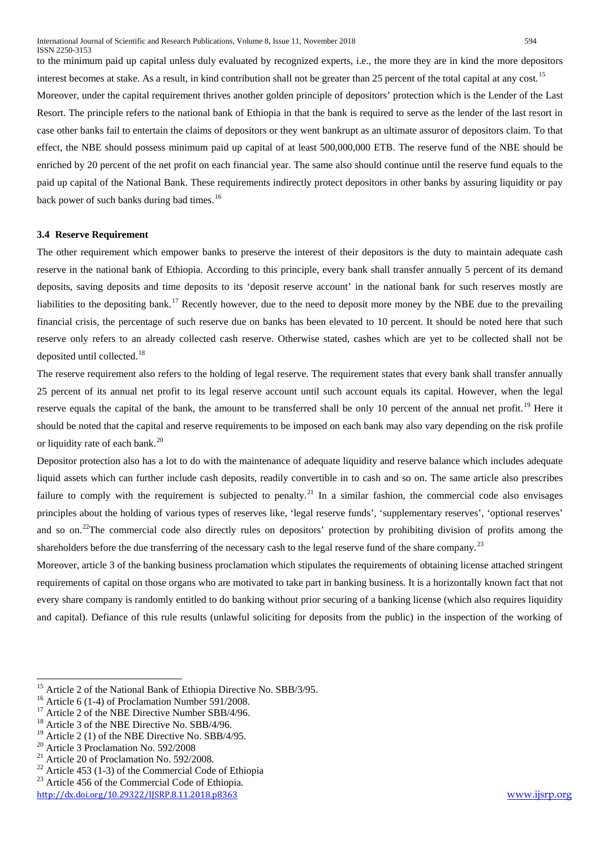to the minimum paid up capital unless duly evaluated by recognized experts, i.e., the more they are in kind the more depositors interest becomes at stake. As a result, in kind contribution shall not be greater than 25 percent of the total capital at any cost.<sup>[15](#page-2-8)</sup> Moreover, under the capital requirement thrives another golden principle of depositors' protection which is the Lender of the Last Resort. The principle refers to the national bank of Ethiopia in that the bank is required to serve as the lender of the last resort in case other banks fail to entertain the claims of depositors or they went bankrupt as an ultimate assuror of depositors claim. To that effect, the NBE should possess minimum paid up capital of at least 500,000,000 ETB. The reserve fund of the NBE should be enriched by 20 percent of the net profit on each financial year. The same also should continue until the reserve fund equals to the paid up capital of the National Bank. These requirements indirectly protect depositors in other banks by assuring liquidity or pay back power of such banks during bad times.<sup>[16](#page-3-0)</sup>

#### **3.4 Reserve Requirement**

The other requirement which empower banks to preserve the interest of their depositors is the duty to maintain adequate cash reserve in the national bank of Ethiopia. According to this principle, every bank shall transfer annually 5 percent of its demand deposits, saving deposits and time deposits to its 'deposit reserve account' in the national bank for such reserves mostly are liabilities to the depositing bank.<sup>[17](#page-3-1)</sup> Recently however, due to the need to deposit more money by the NBE due to the prevailing financial crisis, the percentage of such reserve due on banks has been elevated to 10 percent. It should be noted here that such reserve only refers to an already collected cash reserve. Otherwise stated, cashes which are yet to be collected shall not be deposited until collected.<sup>[18](#page-3-2)</sup>

The reserve requirement also refers to the holding of legal reserve. The requirement states that every bank shall transfer annually 25 percent of its annual net profit to its legal reserve account until such account equals its capital. However, when the legal reserve equals the capital of the bank, the amount to be transferred shall be only 10 percent of the annual net profit.<sup>[19](#page-3-3)</sup> Here it should be noted that the capital and reserve requirements to be imposed on each bank may also vary depending on the risk profile or liquidity rate of each bank.<sup>[20](#page-3-4)</sup>

Depositor protection also has a lot to do with the maintenance of adequate liquidity and reserve balance which includes adequate liquid assets which can further include cash deposits, readily convertible in to cash and so on. The same article also prescribes failure to comply with the requirement is subjected to penalty.<sup>[21](#page-3-5)</sup> In a similar fashion, the commercial code also envisages principles about the holding of various types of reserves like, 'legal reserve funds', 'supplementary reserves', 'optional reserves' and so on.<sup>[22](#page-3-6)</sup>The commercial code also directly rules on depositors' protection by prohibiting division of profits among the shareholders before the due transferring of the necessary cash to the legal reserve fund of the share company.<sup>[23](#page-3-7)</sup>

Moreover, article 3 of the banking business proclamation which stipulates the requirements of obtaining license attached stringent requirements of capital on those organs who are motivated to take part in banking business. It is a horizontally known fact that not every share company is randomly entitled to do banking without prior securing of a banking license (which also requires liquidity and capital). Defiance of this rule results (unlawful soliciting for deposits from the public) in the inspection of the working of

<sup>&</sup>lt;sup>15</sup> Article 2 of the National Bank of Ethiopia Directive No. SBB/3/95.<br><sup>16</sup> Article 6 (1-4) of Proclamation Number 591/2008.<br><sup>17</sup> Article 2 of the NBE Directive No. SBB/4/96.<br><sup>18</sup> Article 3 of the NBE Directive No. SBB/4

<span id="page-3-0"></span>

<span id="page-3-1"></span>

<span id="page-3-2"></span>

<span id="page-3-6"></span><span id="page-3-5"></span>

<span id="page-3-4"></span><span id="page-3-3"></span><sup>&</sup>lt;sup>20</sup> Article 3 Proclamation No. 592/2008<br><sup>21</sup> Article 20 of Proclamation No. 592/2008.<br><sup>22</sup> Article 453 (1-3) of the Commercial Code of Ethiopia<br><sup>23</sup> Article 456 of the Commercial Code of Ethiopia.

<span id="page-3-7"></span>

<http://dx.doi.org/10.29322/IJSRP.8.11.2018.p8363> [www.ijsrp.org](http://ijsrp.org/)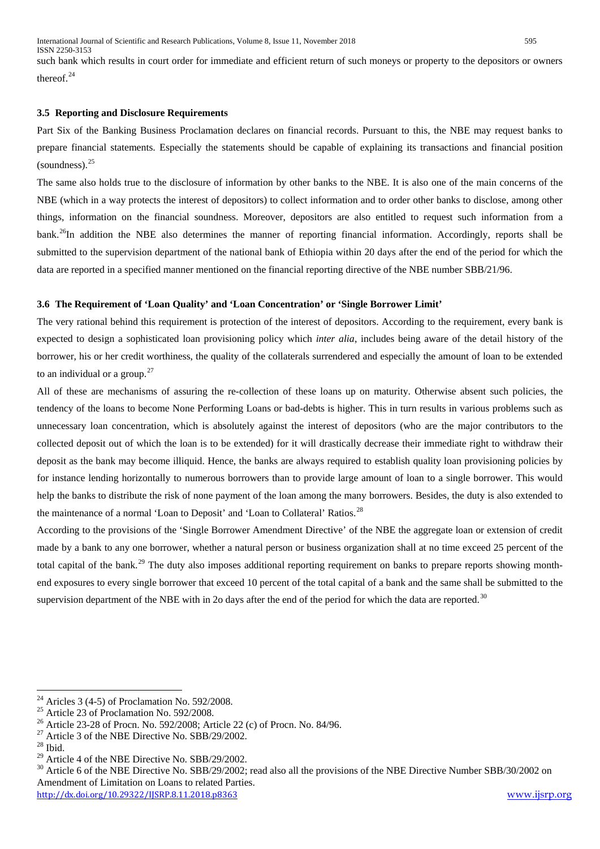International Journal of Scientific and Research Publications, Volume 8, Issue 11, November 2018 595 ISSN 2250-3153

such bank which results in court order for immediate and efficient return of such moneys or property to the depositors or owners thereof.<sup>[24](#page-3-0)</sup>

### **3.5 Reporting and Disclosure Requirements**

Part Six of the Banking Business Proclamation declares on financial records. Pursuant to this, the NBE may request banks to prepare financial statements. Especially the statements should be capable of explaining its transactions and financial position  $(soundness).$ <sup>[25](#page-4-0)</sup>

The same also holds true to the disclosure of information by other banks to the NBE. It is also one of the main concerns of the NBE (which in a way protects the interest of depositors) to collect information and to order other banks to disclose, among other things, information on the financial soundness. Moreover, depositors are also entitled to request such information from a bank.<sup>26</sup>In addition the NBE also determines the manner of reporting financial information. Accordingly, reports shall be submitted to the supervision department of the national bank of Ethiopia within 20 days after the end of the period for which the data are reported in a specified manner mentioned on the financial reporting directive of the NBE number SBB/21/96.

#### **3.6 The Requirement of 'Loan Quality' and 'Loan Concentration' or 'Single Borrower Limit'**

The very rational behind this requirement is protection of the interest of depositors. According to the requirement, every bank is expected to design a sophisticated loan provisioning policy which *inter alia*, includes being aware of the detail history of the borrower, his or her credit worthiness, the quality of the collaterals surrendered and especially the amount of loan to be extended to an individual or a group.<sup>[27](#page-4-2)</sup>

All of these are mechanisms of assuring the re-collection of these loans up on maturity. Otherwise absent such policies, the tendency of the loans to become None Performing Loans or bad-debts is higher. This in turn results in various problems such as unnecessary loan concentration, which is absolutely against the interest of depositors (who are the major contributors to the collected deposit out of which the loan is to be extended) for it will drastically decrease their immediate right to withdraw their deposit as the bank may become illiquid. Hence, the banks are always required to establish quality loan provisioning policies by for instance lending horizontally to numerous borrowers than to provide large amount of loan to a single borrower. This would help the banks to distribute the risk of none payment of the loan among the many borrowers. Besides, the duty is also extended to the maintenance of a normal 'Loan to Deposit' and 'Loan to Collateral' Ratios.<sup>[28](#page-4-3)</sup>

According to the provisions of the 'Single Borrower Amendment Directive' of the NBE the aggregate loan or extension of credit made by a bank to any one borrower, whether a natural person or business organization shall at no time exceed 25 percent of the total capital of the bank.<sup>[29](#page-4-4)</sup> The duty also imposes additional reporting requirement on banks to prepare reports showing monthend exposures to every single borrower that exceed 10 percent of the total capital of a bank and the same shall be submitted to the supervision department of the NBE with in 2o days after the end of the period for which the data are reported.<sup>[30](#page-4-5)</sup>

<span id="page-4-5"></span><span id="page-4-4"></span><http://dx.doi.org/10.29322/IJSRP.8.11.2018.p8363> [www.ijsrp.org](http://ijsrp.org/) <sup>29</sup> Article 4 of the NBE Directive No. SBB/29/2002.<br><sup>30</sup> Article 6 of the NBE Directive No. SBB/29/2002; read also all the provisions of the NBE Directive Number SBB/30/2002 on Amendment of Limitation on Loans to related Parties.

<span id="page-4-0"></span><sup>&</sup>lt;sup>24</sup> Aricles 3 (4-5) of Proclamation No. 592/2008.<br><sup>25</sup> Article 23 of Proclamation No. 592/2008.<br><sup>26</sup> Article 23-28 of Procn. No. 592/2008; Article 22 (c) of Procn. No. 84/96.<br><sup>27</sup> Article 3 of the NBE Directive No. SBB/2

<span id="page-4-2"></span><span id="page-4-1"></span>

<span id="page-4-3"></span>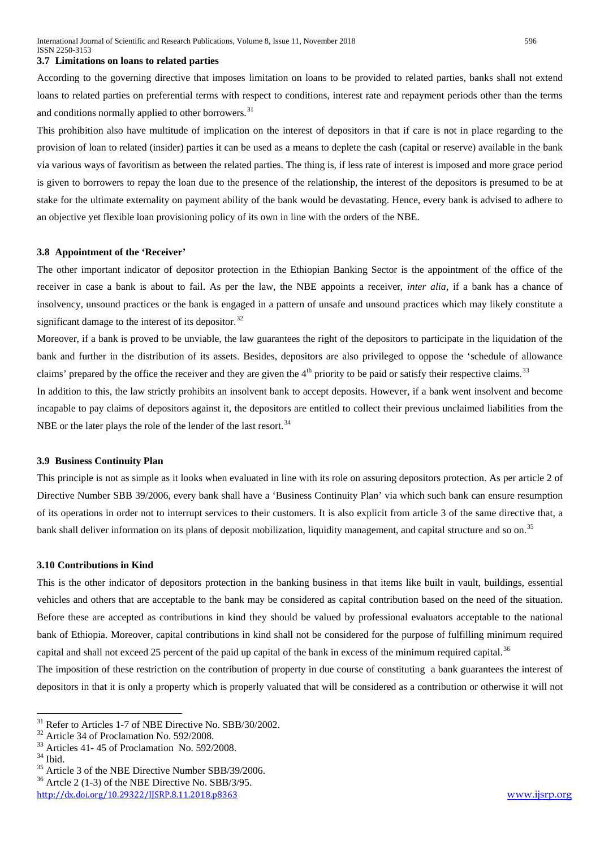#### **3.7 Limitations on loans to related parties**

According to the governing directive that imposes limitation on loans to be provided to related parties, banks shall not extend loans to related parties on preferential terms with respect to conditions, interest rate and repayment periods other than the terms and conditions normally applied to other borrowers.<sup>[31](#page-4-1)</sup>

This prohibition also have multitude of implication on the interest of depositors in that if care is not in place regarding to the provision of loan to related (insider) parties it can be used as a means to deplete the cash (capital or reserve) available in the bank via various ways of favoritism as between the related parties. The thing is, if less rate of interest is imposed and more grace period is given to borrowers to repay the loan due to the presence of the relationship, the interest of the depositors is presumed to be at stake for the ultimate externality on payment ability of the bank would be devastating. Hence, every bank is advised to adhere to an objective yet flexible loan provisioning policy of its own in line with the orders of the NBE.

#### **3.8 Appointment of the 'Receiver'**

The other important indicator of depositor protection in the Ethiopian Banking Sector is the appointment of the office of the receiver in case a bank is about to fail. As per the law, the NBE appoints a receiver, *inter alia*, if a bank has a chance of insolvency, unsound practices or the bank is engaged in a pattern of unsafe and unsound practices which may likely constitute a significant damage to the interest of its depositor. $32$ 

Moreover, if a bank is proved to be unviable, the law guarantees the right of the depositors to participate in the liquidation of the bank and further in the distribution of its assets. Besides, depositors are also privileged to oppose the 'schedule of allowance claims' prepared by the office the receiver and they are given the  $4<sup>th</sup>$  priority to be paid or satisfy their respective claims.<sup>[33](#page-5-1)</sup>

In addition to this, the law strictly prohibits an insolvent bank to accept deposits. However, if a bank went insolvent and become incapable to pay claims of depositors against it, the depositors are entitled to collect their previous unclaimed liabilities from the NBE or the later plays the role of the lender of the last resort.<sup>[34](#page-5-2)</sup>

#### **3.9 Business Continuity Plan**

This principle is not as simple as it looks when evaluated in line with its role on assuring depositors protection. As per article 2 of Directive Number SBB 39/2006, every bank shall have a 'Business Continuity Plan' via which such bank can ensure resumption of its operations in order not to interrupt services to their customers. It is also explicit from article 3 of the same directive that, a bank shall deliver information on its plans of deposit mobilization, liquidity management, and capital structure and so on.<sup>[35](#page-5-3)</sup>

#### **3.10 Contributions in Kind**

This is the other indicator of depositors protection in the banking business in that items like built in vault, buildings, essential vehicles and others that are acceptable to the bank may be considered as capital contribution based on the need of the situation. Before these are accepted as contributions in kind they should be valued by professional evaluators acceptable to the national bank of Ethiopia. Moreover, capital contributions in kind shall not be considered for the purpose of fulfilling minimum required capital and shall not exceed 25 percent of the paid up capital of the bank in excess of the minimum required capital.<sup>[36](#page-5-4)</sup>

The imposition of these restriction on the contribution of property in due course of constituting a bank guarantees the interest of depositors in that it is only a property which is properly valuated that will be considered as a contribution or otherwise it will not

<span id="page-5-0"></span>

<span id="page-5-1"></span>

<span id="page-5-2"></span>

<sup>&</sup>lt;sup>31</sup> Refer to Articles 1-7 of NBE Directive No. SBB/30/2002.<br><sup>32</sup> Article 34 of Proclamation No. 592/2008.<br><sup>33</sup> Articles 41- 45 of Proclamation No. 592/2008.<br><sup>35</sup> Article 3 of the NBE Directive Number SBB/39/2006.<br><sup>36</sup> Ar

<span id="page-5-4"></span><span id="page-5-3"></span>

<http://dx.doi.org/10.29322/IJSRP.8.11.2018.p8363> [www.ijsrp.org](http://ijsrp.org/)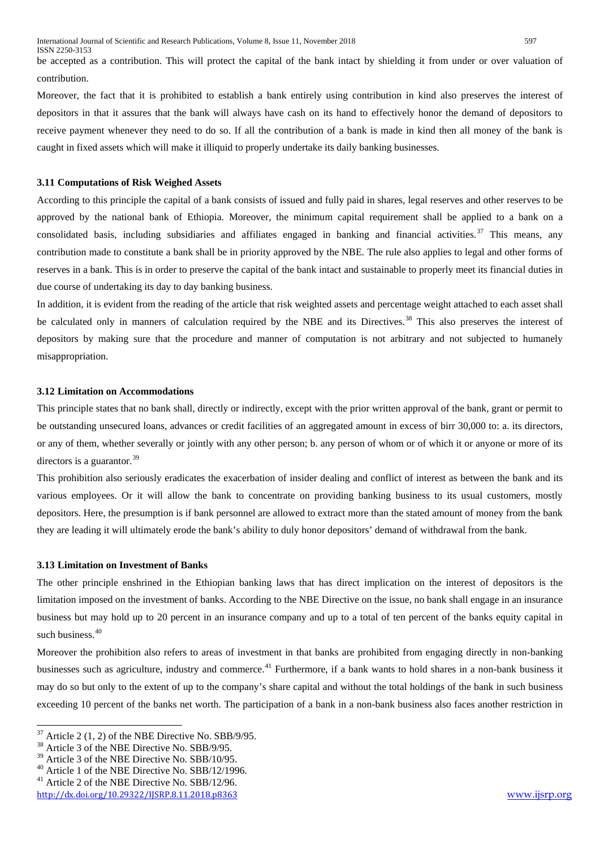be accepted as a contribution. This will protect the capital of the bank intact by shielding it from under or over valuation of contribution.

Moreover, the fact that it is prohibited to establish a bank entirely using contribution in kind also preserves the interest of depositors in that it assures that the bank will always have cash on its hand to effectively honor the demand of depositors to receive payment whenever they need to do so. If all the contribution of a bank is made in kind then all money of the bank is caught in fixed assets which will make it illiquid to properly undertake its daily banking businesses.

#### **3.11 Computations of Risk Weighed Assets**

According to this principle the capital of a bank consists of issued and fully paid in shares, legal reserves and other reserves to be approved by the national bank of Ethiopia. Moreover, the minimum capital requirement shall be applied to a bank on a consolidated basis, including subsidiaries and affiliates engaged in banking and financial activities.<sup>[37](#page-5-0)</sup> This means, any contribution made to constitute a bank shall be in priority approved by the NBE. The rule also applies to legal and other forms of reserves in a bank. This is in order to preserve the capital of the bank intact and sustainable to properly meet its financial duties in due course of undertaking its day to day banking business.

In addition, it is evident from the reading of the article that risk weighted assets and percentage weight attached to each asset shall be calculated only in manners of calculation required by the NBE and its Directives.<sup>[38](#page-6-0)</sup> This also preserves the interest of depositors by making sure that the procedure and manner of computation is not arbitrary and not subjected to humanely misappropriation.

# **3.12 Limitation on Accommodations**

This principle states that no bank shall, directly or indirectly, except with the prior written approval of the bank, grant or permit to be outstanding unsecured loans, advances or credit facilities of an aggregated amount in excess of birr 30,000 to: a. its directors, or any of them, whether severally or jointly with any other person; b. any person of whom or of which it or anyone or more of its directors is a guarantor.  $39$ 

This prohibition also seriously eradicates the exacerbation of insider dealing and conflict of interest as between the bank and its various employees. Or it will allow the bank to concentrate on providing banking business to its usual customers, mostly depositors. Here, the presumption is if bank personnel are allowed to extract more than the stated amount of money from the bank they are leading it will ultimately erode the bank's ability to duly honor depositors' demand of withdrawal from the bank.

#### **3.13 Limitation on Investment of Banks**

The other principle enshrined in the Ethiopian banking laws that has direct implication on the interest of depositors is the limitation imposed on the investment of banks. According to the NBE Directive on the issue, no bank shall engage in an insurance business but may hold up to 20 percent in an insurance company and up to a total of ten percent of the banks equity capital in such business. $40$ 

Moreover the prohibition also refers to areas of investment in that banks are prohibited from engaging directly in non-banking businesses such as agriculture, industry and commerce.<sup>[41](#page-6-3)</sup> Furthermore, if a bank wants to hold shares in a non-bank business it may do so but only to the extent of up to the company's share capital and without the total holdings of the bank in such business exceeding 10 percent of the banks net worth. The participation of a bank in a non-bank business also faces another restriction in

<sup>&</sup>lt;sup>37</sup> Article 2 (1, 2) of the NBE Directive No. SBB/9/95.<br><sup>38</sup> Article 3 of the NBE Directive No. SBB/9/95.<br><sup>39</sup> Article 3 of the NBE Directive No. SBB/10/95.

<span id="page-6-0"></span>

<span id="page-6-1"></span>

<span id="page-6-2"></span><sup>&</sup>lt;sup>40</sup> Article 1 of the NBE Directive No. SBB/12/1996.  $41$  Article 2 of the NBE Directive No. SBB/12/96.

<span id="page-6-3"></span>

<http://dx.doi.org/10.29322/IJSRP.8.11.2018.p8363> [www.ijsrp.org](http://ijsrp.org/)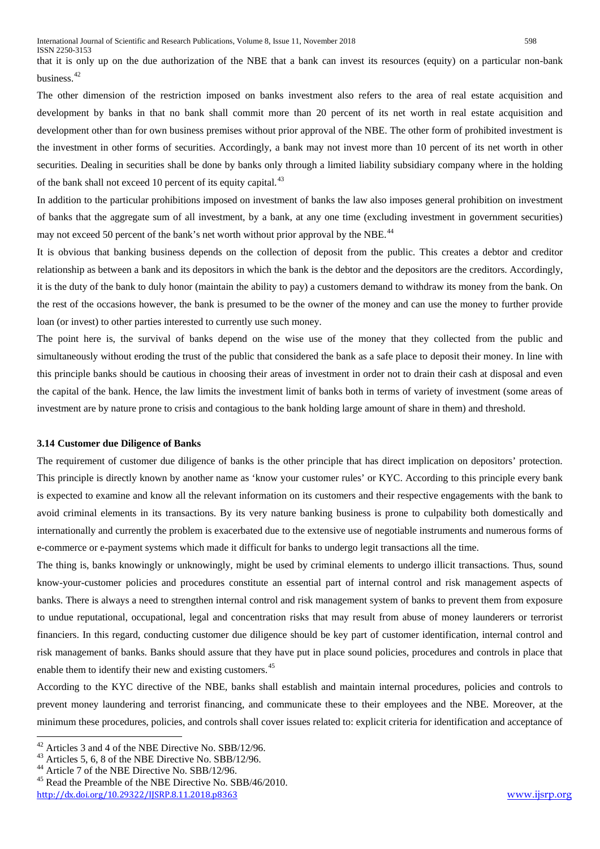that it is only up on the due authorization of the NBE that a bank can invest its resources (equity) on a particular non-bank business.<sup>[42](#page-6-0)</sup>

The other dimension of the restriction imposed on banks investment also refers to the area of real estate acquisition and development by banks in that no bank shall commit more than 20 percent of its net worth in real estate acquisition and development other than for own business premises without prior approval of the NBE. The other form of prohibited investment is the investment in other forms of securities. Accordingly, a bank may not invest more than 10 percent of its net worth in other securities. Dealing in securities shall be done by banks only through a limited liability subsidiary company where in the holding of the bank shall not exceed 10 percent of its equity capital.<sup>[43](#page-7-0)</sup>

In addition to the particular prohibitions imposed on investment of banks the law also imposes general prohibition on investment of banks that the aggregate sum of all investment, by a bank, at any one time (excluding investment in government securities) may not exceed 50 percent of the bank's net worth without prior approval by the NBE.<sup>[44](#page-7-1)</sup>

It is obvious that banking business depends on the collection of deposit from the public. This creates a debtor and creditor relationship as between a bank and its depositors in which the bank is the debtor and the depositors are the creditors. Accordingly, it is the duty of the bank to duly honor (maintain the ability to pay) a customers demand to withdraw its money from the bank. On the rest of the occasions however, the bank is presumed to be the owner of the money and can use the money to further provide loan (or invest) to other parties interested to currently use such money.

The point here is, the survival of banks depend on the wise use of the money that they collected from the public and simultaneously without eroding the trust of the public that considered the bank as a safe place to deposit their money. In line with this principle banks should be cautious in choosing their areas of investment in order not to drain their cash at disposal and even the capital of the bank. Hence, the law limits the investment limit of banks both in terms of variety of investment (some areas of investment are by nature prone to crisis and contagious to the bank holding large amount of share in them) and threshold.

#### **3.14 Customer due Diligence of Banks**

The requirement of customer due diligence of banks is the other principle that has direct implication on depositors' protection. This principle is directly known by another name as 'know your customer rules' or KYC. According to this principle every bank is expected to examine and know all the relevant information on its customers and their respective engagements with the bank to avoid criminal elements in its transactions. By its very nature banking business is prone to culpability both domestically and internationally and currently the problem is exacerbated due to the extensive use of negotiable instruments and numerous forms of e-commerce or e-payment systems which made it difficult for banks to undergo legit transactions all the time.

The thing is, banks knowingly or unknowingly, might be used by criminal elements to undergo illicit transactions. Thus, sound know-your-customer policies and procedures constitute an essential part of internal control and risk management aspects of banks. There is always a need to strengthen internal control and risk management system of banks to prevent them from exposure to undue reputational, occupational, legal and concentration risks that may result from abuse of money launderers or terrorist financiers. In this regard, conducting customer due diligence should be key part of customer identification, internal control and risk management of banks. Banks should assure that they have put in place sound policies, procedures and controls in place that enable them to identify their new and existing customers.<sup>[45](#page-7-2)</sup>

According to the KYC directive of the NBE, banks shall establish and maintain internal procedures, policies and controls to prevent money laundering and terrorist financing, and communicate these to their employees and the NBE. Moreover, at the minimum these procedures, policies, and controls shall cover issues related to: explicit criteria for identification and acceptance of

<span id="page-7-0"></span>

<span id="page-7-2"></span><span id="page-7-1"></span>

<span id="page-7-3"></span><http://dx.doi.org/10.29322/IJSRP.8.11.2018.p8363> [www.ijsrp.org](http://ijsrp.org/) <sup>42</sup> Articles 3 and 4 of the NBE Directive No. SBB/12/96.<br><sup>43</sup> Articles 5, 6, 8 of the NBE Directive No. SBB/12/96.<br><sup>44</sup> Article 7 of the NBE Directive No. SBB/12/96.<br><sup>45</sup> Read the Preamble of the NBE Directive No. SBB/46